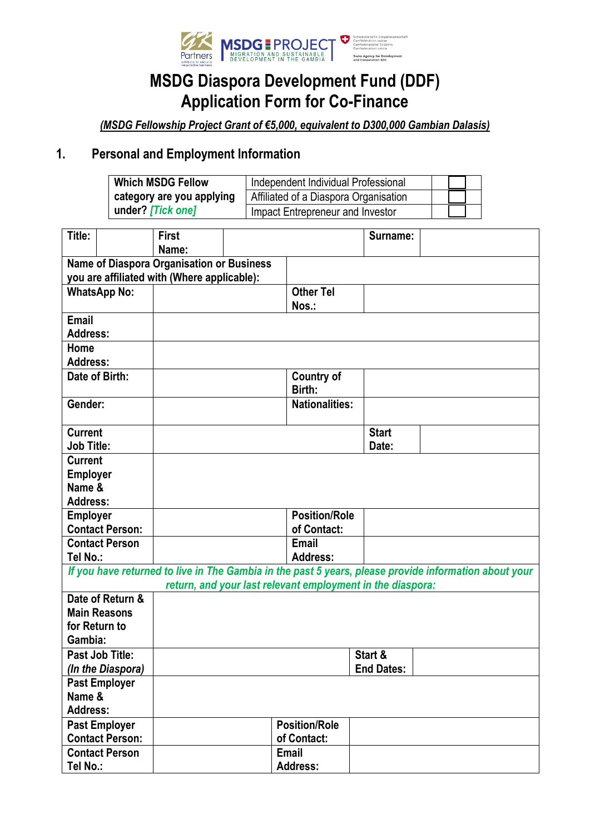

## **MSDG Diaspora Development Fund (DDF) Application Form for Co-Finance**

*(MSDG Fellowship Project Grant of €5,000, equivalent to D300,000 Gambian Dalasis)*

#### **1. Personal and Employment Information**

| <b>Which MSDG Fellow</b>  | Independent Individual Professional   |  |
|---------------------------|---------------------------------------|--|
| category are you applying | Affiliated of a Diaspora Organisation |  |
| under? [Tick one]         | Impact Entrepreneur and Investor      |  |

| Title:            |                        | <b>First</b><br>Name:                                                                           |                      |                                                            | Surname:          |                                                                                                       |
|-------------------|------------------------|-------------------------------------------------------------------------------------------------|----------------------|------------------------------------------------------------|-------------------|-------------------------------------------------------------------------------------------------------|
|                   |                        |                                                                                                 |                      |                                                            |                   |                                                                                                       |
|                   |                        | <b>Name of Diaspora Organisation or Business</b><br>you are affiliated with (Where applicable): |                      |                                                            |                   |                                                                                                       |
|                   | <b>WhatsApp No:</b>    |                                                                                                 |                      | <b>Other Tel</b>                                           |                   |                                                                                                       |
|                   |                        |                                                                                                 |                      | Nos.:                                                      |                   |                                                                                                       |
| Email             |                        |                                                                                                 |                      |                                                            |                   |                                                                                                       |
| <b>Address:</b>   |                        |                                                                                                 |                      |                                                            |                   |                                                                                                       |
| Home              |                        |                                                                                                 |                      |                                                            |                   |                                                                                                       |
| <b>Address:</b>   |                        |                                                                                                 |                      |                                                            |                   |                                                                                                       |
|                   | Date of Birth:         |                                                                                                 |                      | <b>Country of</b>                                          |                   |                                                                                                       |
|                   |                        |                                                                                                 |                      | Birth:                                                     |                   |                                                                                                       |
| Gender:           |                        |                                                                                                 |                      | <b>Nationalities:</b>                                      |                   |                                                                                                       |
|                   |                        |                                                                                                 |                      |                                                            |                   |                                                                                                       |
| <b>Current</b>    |                        |                                                                                                 |                      |                                                            | <b>Start</b>      |                                                                                                       |
| <b>Job Title:</b> |                        |                                                                                                 |                      |                                                            | Date:             |                                                                                                       |
| <b>Current</b>    |                        |                                                                                                 |                      |                                                            |                   |                                                                                                       |
| <b>Employer</b>   |                        |                                                                                                 |                      |                                                            |                   |                                                                                                       |
| Name &            |                        |                                                                                                 |                      |                                                            |                   |                                                                                                       |
| <b>Address:</b>   |                        |                                                                                                 |                      |                                                            |                   |                                                                                                       |
| <b>Employer</b>   |                        |                                                                                                 |                      | <b>Position/Role</b>                                       |                   |                                                                                                       |
|                   | <b>Contact Person:</b> |                                                                                                 |                      | of Contact:                                                |                   |                                                                                                       |
|                   | <b>Contact Person</b>  |                                                                                                 |                      | <b>Email</b>                                               |                   |                                                                                                       |
| Tel No.:          |                        |                                                                                                 |                      | <b>Address:</b>                                            |                   |                                                                                                       |
|                   |                        |                                                                                                 |                      |                                                            |                   | If you have returned to live in The Gambia in the past 5 years, please provide information about your |
|                   |                        |                                                                                                 |                      | return, and your last relevant employment in the diaspora: |                   |                                                                                                       |
|                   | Date of Return &       |                                                                                                 |                      |                                                            |                   |                                                                                                       |
|                   | <b>Main Reasons</b>    |                                                                                                 |                      |                                                            |                   |                                                                                                       |
| for Return to     |                        |                                                                                                 |                      |                                                            |                   |                                                                                                       |
| Gambia:           |                        |                                                                                                 |                      |                                                            |                   |                                                                                                       |
|                   | Past Job Title:        |                                                                                                 |                      |                                                            | Start &           |                                                                                                       |
|                   | (In the Diaspora)      |                                                                                                 |                      |                                                            | <b>End Dates:</b> |                                                                                                       |
|                   | <b>Past Employer</b>   |                                                                                                 |                      |                                                            |                   |                                                                                                       |
| Name &            |                        |                                                                                                 |                      |                                                            |                   |                                                                                                       |
| <b>Address:</b>   |                        |                                                                                                 |                      |                                                            |                   |                                                                                                       |
|                   | <b>Past Employer</b>   |                                                                                                 | <b>Position/Role</b> |                                                            |                   |                                                                                                       |
|                   | <b>Contact Person:</b> |                                                                                                 | of Contact:          |                                                            |                   |                                                                                                       |
|                   | <b>Contact Person</b>  |                                                                                                 |                      | Email                                                      |                   |                                                                                                       |
| Tel No.:          |                        |                                                                                                 |                      | <b>Address:</b>                                            |                   |                                                                                                       |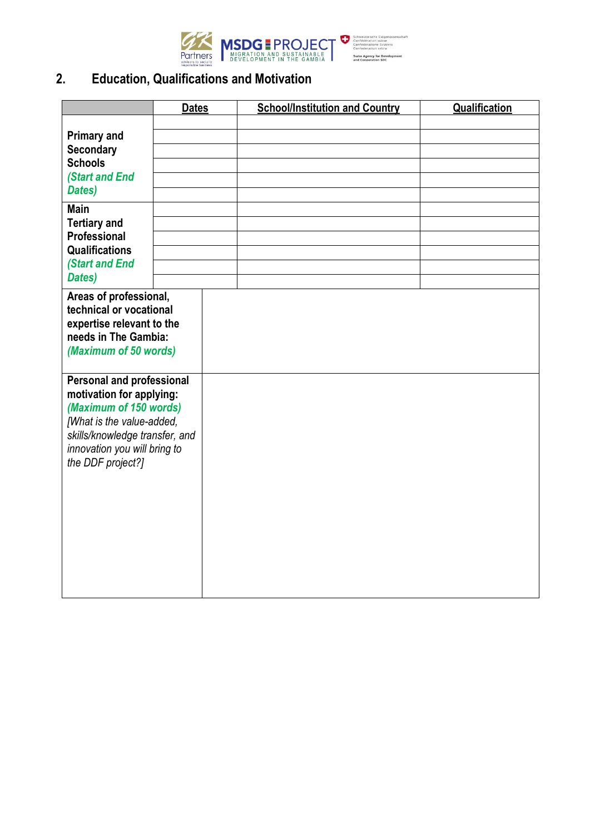

### **2. Education, Qualifications and Motivation**

|                                                                                                                                                                                                            | <b>Dates</b> | <b>School/Institution and Country</b> | Qualification |
|------------------------------------------------------------------------------------------------------------------------------------------------------------------------------------------------------------|--------------|---------------------------------------|---------------|
| <b>Primary and</b><br>Secondary<br><b>Schools</b><br><b>(Start and End</b><br>Dates)                                                                                                                       |              |                                       |               |
| <b>Main</b><br><b>Tertiary and</b><br>Professional<br><b>Qualifications</b><br><b>(Start and End</b><br>Dates)                                                                                             |              |                                       |               |
| Areas of professional,<br>technical or vocational<br>expertise relevant to the<br>needs in The Gambia:<br>(Maximum of 50 words)                                                                            |              |                                       |               |
| <b>Personal and professional</b><br>motivation for applying:<br>(Maximum of 150 words)<br>[What is the value-added,<br>skills/knowledge transfer, and<br>innovation you will bring to<br>the DDF project?] |              |                                       |               |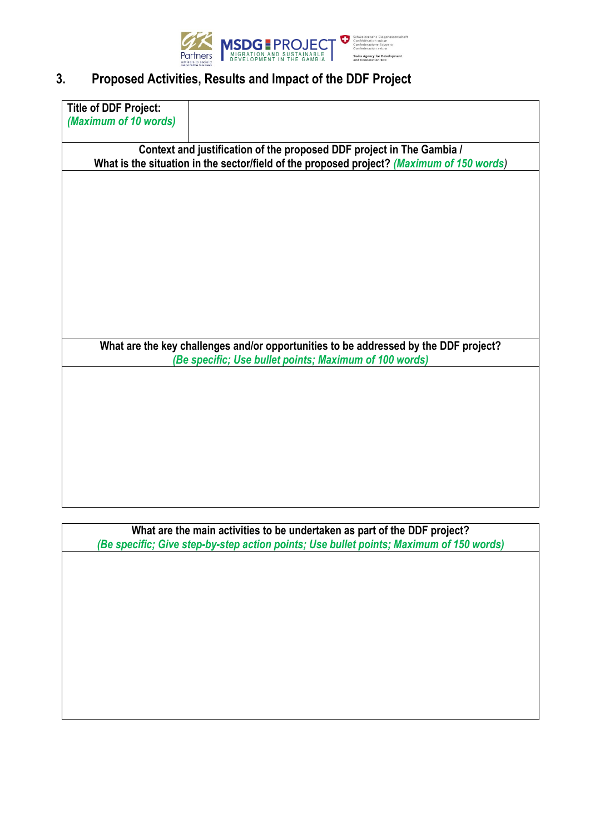

### **3. Proposed Activities, Results and Impact of the DDF Project**

| <b>Title of DDF Project:</b> |                                                                                           |
|------------------------------|-------------------------------------------------------------------------------------------|
| (Maximum of 10 words)        |                                                                                           |
|                              |                                                                                           |
|                              | Context and justification of the proposed DDF project in The Gambia /                     |
|                              | What is the situation in the sector/field of the proposed project? (Maximum of 150 words) |
|                              |                                                                                           |
|                              |                                                                                           |
|                              |                                                                                           |
|                              |                                                                                           |
|                              |                                                                                           |
|                              |                                                                                           |
|                              |                                                                                           |
|                              |                                                                                           |
|                              |                                                                                           |
|                              |                                                                                           |
|                              |                                                                                           |
|                              |                                                                                           |
|                              |                                                                                           |
|                              | What are the key challenges and/or opportunities to be addressed by the DDF project?      |
|                              | (Be specific; Use bullet points; Maximum of 100 words)                                    |
|                              |                                                                                           |
|                              |                                                                                           |
|                              |                                                                                           |
|                              |                                                                                           |
|                              |                                                                                           |
|                              |                                                                                           |
|                              |                                                                                           |
|                              |                                                                                           |
|                              |                                                                                           |

**What are the main activities to be undertaken as part of the DDF project?** *(Be specific; Give step-by-step action points; Use bullet points; Maximum of 150 words)*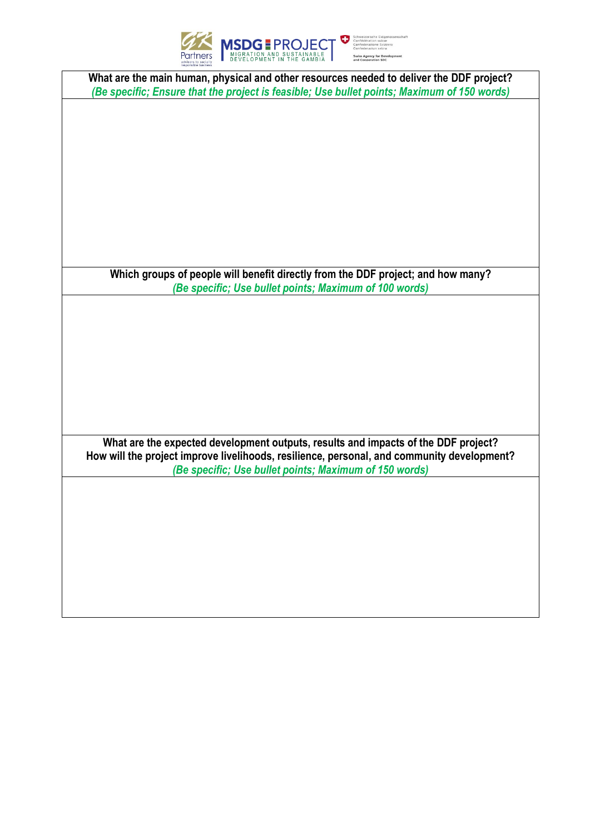

ent

| What are the main human, physical and other resources needed to deliver the DDF project?    |
|---------------------------------------------------------------------------------------------|
| (Be specific; Ensure that the project is feasible; Use bullet points; Maximum of 150 words) |
|                                                                                             |
|                                                                                             |
|                                                                                             |
|                                                                                             |
|                                                                                             |
|                                                                                             |
|                                                                                             |
|                                                                                             |
|                                                                                             |
|                                                                                             |
|                                                                                             |
|                                                                                             |
| Which groups of people will benefit directly from the DDF project; and how many?            |
| (Be specific; Use bullet points; Maximum of 100 words)                                      |
|                                                                                             |
|                                                                                             |
|                                                                                             |
|                                                                                             |
|                                                                                             |
|                                                                                             |
|                                                                                             |
|                                                                                             |
|                                                                                             |
|                                                                                             |
| What are the expected development outputs, results and impacts of the DDF project?          |
| How will the project improve livelihoods, resilience, personal, and community development?  |
| (Be specific; Use bullet points; Maximum of 150 words)                                      |
|                                                                                             |
|                                                                                             |
|                                                                                             |
|                                                                                             |
|                                                                                             |
|                                                                                             |
|                                                                                             |
|                                                                                             |
|                                                                                             |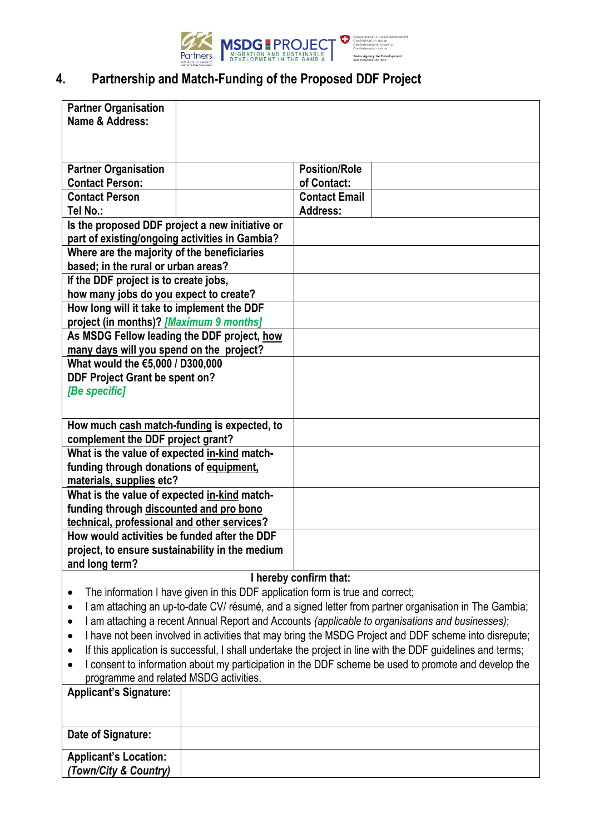

# **4. Partnership and Match-Funding of the Proposed DDF Project**

| <b>Partner Organisation</b>                                                                                                                    |  |                                                                                                             |  |
|------------------------------------------------------------------------------------------------------------------------------------------------|--|-------------------------------------------------------------------------------------------------------------|--|
| Name & Address:                                                                                                                                |  |                                                                                                             |  |
|                                                                                                                                                |  |                                                                                                             |  |
|                                                                                                                                                |  |                                                                                                             |  |
| <b>Partner Organisation</b>                                                                                                                    |  | <b>Position/Role</b>                                                                                        |  |
| <b>Contact Person:</b>                                                                                                                         |  | of Contact:                                                                                                 |  |
| <b>Contact Person</b><br>Tel No.:                                                                                                              |  | <b>Contact Email</b><br><b>Address:</b>                                                                     |  |
| Is the proposed DDF project a new initiative or                                                                                                |  |                                                                                                             |  |
| part of existing/ongoing activities in Gambia?                                                                                                 |  |                                                                                                             |  |
| Where are the majority of the beneficiaries                                                                                                    |  |                                                                                                             |  |
| based; in the rural or urban areas?                                                                                                            |  |                                                                                                             |  |
| If the DDF project is to create jobs,                                                                                                          |  |                                                                                                             |  |
| how many jobs do you expect to create?                                                                                                         |  |                                                                                                             |  |
| How long will it take to implement the DDF                                                                                                     |  |                                                                                                             |  |
| project (in months)? [Maximum 9 months]                                                                                                        |  |                                                                                                             |  |
| As MSDG Fellow leading the DDF project, how<br>many days will you spend on the project?                                                        |  |                                                                                                             |  |
| What would the €5,000 / D300,000                                                                                                               |  |                                                                                                             |  |
| <b>DDF Project Grant be spent on?</b>                                                                                                          |  |                                                                                                             |  |
| [Be specific]                                                                                                                                  |  |                                                                                                             |  |
|                                                                                                                                                |  |                                                                                                             |  |
| How much cash match-funding is expected, to                                                                                                    |  |                                                                                                             |  |
| complement the DDF project grant?                                                                                                              |  |                                                                                                             |  |
| What is the value of expected in-kind match-                                                                                                   |  |                                                                                                             |  |
| funding through donations of equipment,                                                                                                        |  |                                                                                                             |  |
| materials, supplies etc?                                                                                                                       |  |                                                                                                             |  |
| What is the value of expected in-kind match-                                                                                                   |  |                                                                                                             |  |
| funding through discounted and pro bono<br>technical, professional and other services?                                                         |  |                                                                                                             |  |
| How would activities be funded after the DDF                                                                                                   |  |                                                                                                             |  |
| project, to ensure sustainability in the medium                                                                                                |  |                                                                                                             |  |
| and long term?                                                                                                                                 |  |                                                                                                             |  |
|                                                                                                                                                |  | I hereby confirm that:                                                                                      |  |
| $\bullet$                                                                                                                                      |  | The information I have given in this DDF application form is true and correct;                              |  |
| ٠                                                                                                                                              |  | I am attaching an up-to-date CV/ résumé, and a signed letter from partner organisation in The Gambia;       |  |
| ٠                                                                                                                                              |  | I am attaching a recent Annual Report and Accounts (applicable to organisations and businesses);            |  |
| $\bullet$                                                                                                                                      |  | I have not been involved in activities that may bring the MSDG Project and DDF scheme into disrepute;       |  |
| $\bullet$                                                                                                                                      |  | If this application is successful, I shall undertake the project in line with the DDF guidelines and terms; |  |
| I consent to information about my participation in the DDF scheme be used to promote and develop the<br>programme and related MSDG activities. |  |                                                                                                             |  |
| <b>Applicant's Signature:</b>                                                                                                                  |  |                                                                                                             |  |
|                                                                                                                                                |  |                                                                                                             |  |
|                                                                                                                                                |  |                                                                                                             |  |
| Date of Signature:                                                                                                                             |  |                                                                                                             |  |
| <b>Applicant's Location:</b>                                                                                                                   |  |                                                                                                             |  |
| (Town/City & Country)                                                                                                                          |  |                                                                                                             |  |